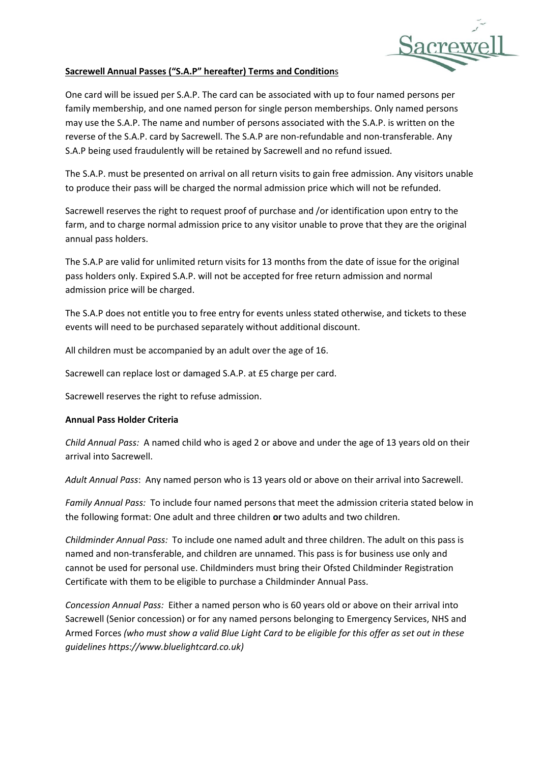

## **Sacrewell Annual Passes ("S.A.P" hereafter) Terms and Condition**s

One card will be issued per S.A.P. The card can be associated with up to four named persons per family membership, and one named person for single person memberships. Only named persons may use the S.A.P. The name and number of persons associated with the S.A.P. is written on the reverse of the S.A.P. card by Sacrewell. The S.A.P are non-refundable and non-transferable. Any S.A.P being used fraudulently will be retained by Sacrewell and no refund issued.

The S.A.P. must be presented on arrival on all return visits to gain free admission. Any visitors unable to produce their pass will be charged the normal admission price which will not be refunded.

Sacrewell reserves the right to request proof of purchase and /or identification upon entry to the farm, and to charge normal admission price to any visitor unable to prove that they are the original annual pass holders.

The S.A.P are valid for unlimited return visits for 13 months from the date of issue for the original pass holders only. Expired S.A.P. will not be accepted for free return admission and normal admission price will be charged.

The S.A.P does not entitle you to free entry for events unless stated otherwise, and tickets to these events will need to be purchased separately without additional discount.

All children must be accompanied by an adult over the age of 16.

Sacrewell can replace lost or damaged S.A.P. at £5 charge per card.

Sacrewell reserves the right to refuse admission.

## **Annual Pass Holder Criteria**

*Child Annual Pass:* A named child who is aged 2 or above and under the age of 13 years old on their arrival into Sacrewell.

*Adult Annual Pass*: Any named person who is 13 years old or above on their arrival into Sacrewell.

*Family Annual Pass:* To include four named persons that meet the admission criteria stated below in the following format: One adult and three children **or** two adults and two children.

*Childminder Annual Pass:* To include one named adult and three children. The adult on this pass is named and non-transferable, and children are unnamed. This pass is for business use only and cannot be used for personal use. Childminders must bring their Ofsted Childminder Registration Certificate with them to be eligible to purchase a Childminder Annual Pass.

*Concession Annual Pass:* Either a named person who is 60 years old or above on their arrival into Sacrewell (Senior concession) or for any named persons belonging to Emergency Services, NHS and Armed Forces *(who must show a valid Blue Light Card to be eligible for this offer as set out in these guidelines https://www.bluelightcard.co.uk)*